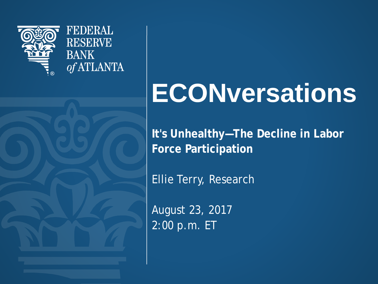

**FEDERAL RESERVE BANK** of ATLANTA

## **ECONversations**

**It's Unhealthy—The Decline in Labor Force Participation** 

Ellie Terry, Research

August 23, 2017 2:00 p.m. ET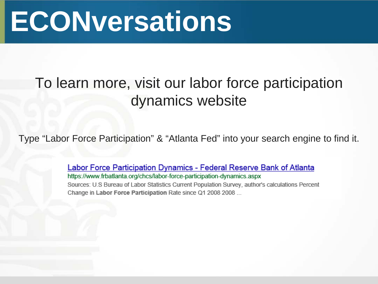## **ECONversations**

### To learn more, visit our labor force participation dynamics website

Type "Labor Force Participation" & "Atlanta Fed" into your search engine to find it.

Labor Force Participation Dynamics - Federal Reserve Bank of Atlanta https://www.frbatlanta.org/chcs/labor-force-participation-dynamics.aspx Sources: U.S Bureau of Labor Statistics Current Population Survey, author's calculations Percent Change in Labor Force Participation Rate since Q1 2008 2008 ...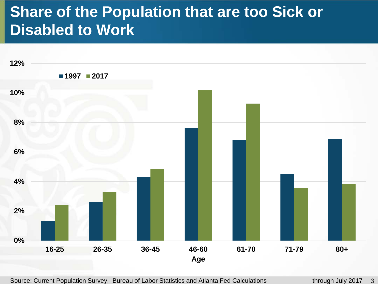### **Share of the Population that are too Sick or Disabled to Work**



Source: Current Population Survey, Bureau of Labor Statistics and Atlanta Fed Calculations through July 2017 3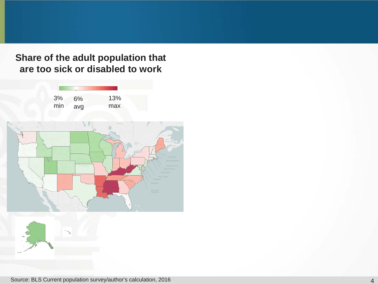#### **Share of the adult population that are too sick or disabled to work**

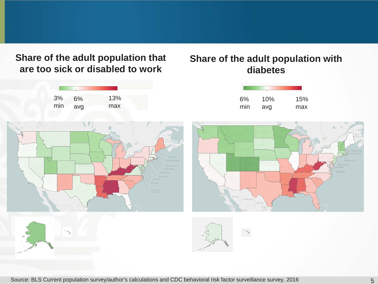**Share of the adult population that are too sick or disabled to work**

#### **Share of the adult population with diabetes**

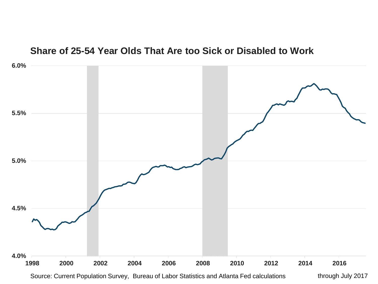#### **Share of 25-54 Year Olds That Are too Sick or Disabled to Work**



Source: Current Population Survey, Bureau of Labor Statistics and Atlanta Fed calculations through July 2017